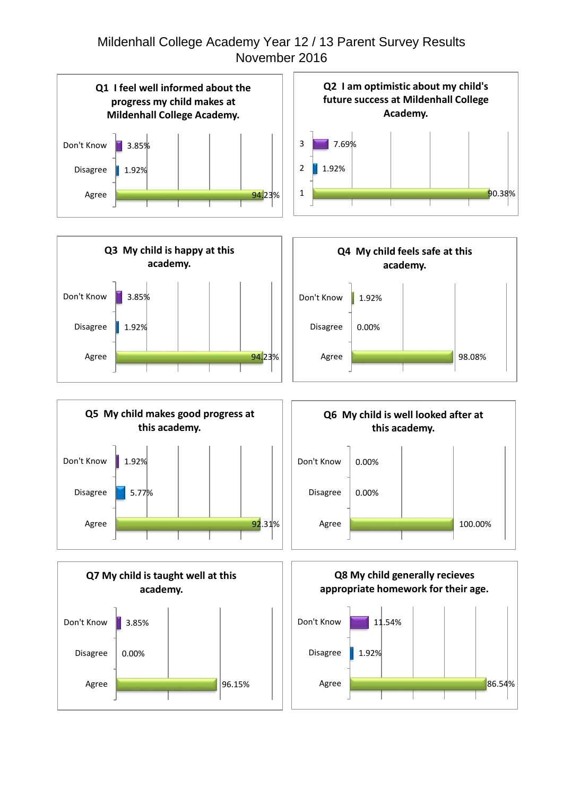## Mildenhall College Academy Year 12 / 13 Parent Survey Results November 2016